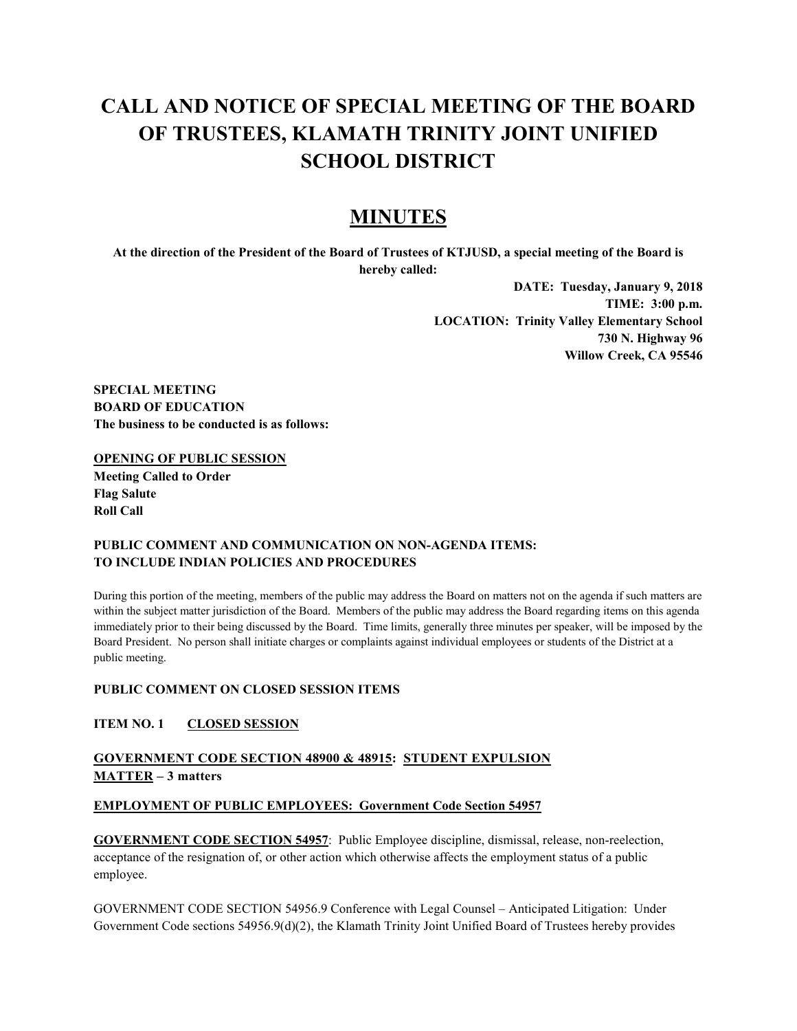# **CALL AND NOTICE OF SPECIAL MEETING OF THE BOARD OF TRUSTEES, KLAMATH TRINITY JOINT UNIFIED SCHOOL DISTRICT**

# **MINUTES**

**At the direction of the President of the Board of Trustees of KTJUSD, a special meeting of the Board is hereby called:**

> **DATE: Tuesday, January 9, 2018 TIME: 3:00 p.m. LOCATION: Trinity Valley Elementary School 730 N. Highway 96 Willow Creek, CA 95546**

**SPECIAL MEETING BOARD OF EDUCATION The business to be conducted is as follows:**

#### **OPENING OF PUBLIC SESSION**

**Meeting Called to Order Flag Salute Roll Call**

### **PUBLIC COMMENT AND COMMUNICATION ON NON-AGENDA ITEMS: TO INCLUDE INDIAN POLICIES AND PROCEDURES**

During this portion of the meeting, members of the public may address the Board on matters not on the agenda if such matters are within the subject matter jurisdiction of the Board. Members of the public may address the Board regarding items on this agenda immediately prior to their being discussed by the Board. Time limits, generally three minutes per speaker, will be imposed by the Board President. No person shall initiate charges or complaints against individual employees or students of the District at a public meeting.

# **PUBLIC COMMENT ON CLOSED SESSION ITEMS**

### **ITEM NO. 1 CLOSED SESSION**

# **GOVERNMENT CODE SECTION 48900 & 48915: STUDENT EXPULSION MATTER – 3 matters**

### **EMPLOYMENT OF PUBLIC EMPLOYEES: Government Code Section 54957**

**GOVERNMENT CODE SECTION 54957**: Public Employee discipline, dismissal, release, non-reelection, acceptance of the resignation of, or other action which otherwise affects the employment status of a public employee.

GOVERNMENT CODE SECTION 54956.9 Conference with Legal Counsel – Anticipated Litigation: Under Government Code sections 54956.9(d)(2), the Klamath Trinity Joint Unified Board of Trustees hereby provides